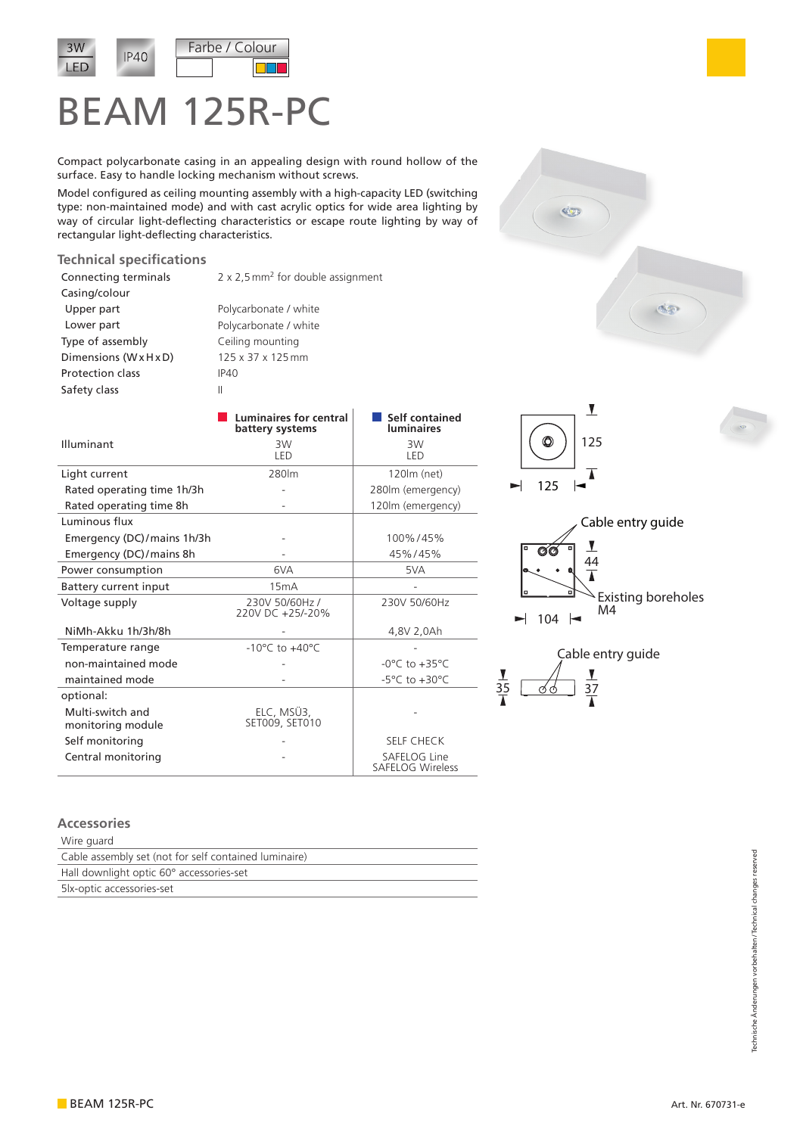

## BEAM 125R-PC

Compact polycarbonate casing in an appealing design with round hollow of the surface. Easy to handle locking mechanism without screws.

Model configured as ceiling mounting assembly with a high-capacity LED (switching type: non-maintained mode) and with cast acrylic optics for wide area lighting by way of circular light-deflecting characteristics or escape route lighting by way of rectangular light-deflecting characteristics.

## **Technical specifications**

| Connecting terminals    | $2 \times 2.5$ mm <sup>2</sup> for double assignment |  |  |  |  |  |  |  |  |
|-------------------------|------------------------------------------------------|--|--|--|--|--|--|--|--|
| Casing/colour           |                                                      |  |  |  |  |  |  |  |  |
| Upper part              | Polycarbonate / white                                |  |  |  |  |  |  |  |  |
| Lower part              | Polycarbonate / white                                |  |  |  |  |  |  |  |  |
| Type of assembly        | Ceiling mounting                                     |  |  |  |  |  |  |  |  |
| Dimensions (WxHxD)      | 125 x 37 x 125 mm                                    |  |  |  |  |  |  |  |  |
| <b>Protection class</b> | IP40                                                 |  |  |  |  |  |  |  |  |
| Safety class            |                                                      |  |  |  |  |  |  |  |  |
|                         |                                                      |  |  |  |  |  |  |  |  |

|                                       | <b>Luminaires for central</b><br>battery systems | Self contained<br><b>luminaires</b>     |  |  |  |  |  |
|---------------------------------------|--------------------------------------------------|-----------------------------------------|--|--|--|--|--|
| Illuminant                            | 3W<br>LED                                        | 3W<br>I FD                              |  |  |  |  |  |
| Light current                         | 280lm                                            | 120lm (net)                             |  |  |  |  |  |
| Rated operating time 1h/3h            |                                                  | 280lm (emergency)                       |  |  |  |  |  |
| Rated operating time 8h               |                                                  | 120lm (emergency)                       |  |  |  |  |  |
| Luminous flux                         |                                                  |                                         |  |  |  |  |  |
| Emergency (DC)/mains 1h/3h            |                                                  | 100%/45%                                |  |  |  |  |  |
| Emergency (DC)/mains 8h               |                                                  | 45%/45%                                 |  |  |  |  |  |
| Power consumption                     | 6VA                                              | 5VA                                     |  |  |  |  |  |
| Battery current input                 | 15mA                                             |                                         |  |  |  |  |  |
| Voltage supply                        | 230V 50/60Hz /<br>220V DC +25/-20%               | 230V 50/60Hz                            |  |  |  |  |  |
| NiMh-Akku 1h/3h/8h                    |                                                  | 4,8V 2,0Ah                              |  |  |  |  |  |
| Temperature range                     | $-10^{\circ}$ C to $+40^{\circ}$ C               |                                         |  |  |  |  |  |
| non-maintained mode                   |                                                  | $-0^{\circ}$ C to $+35^{\circ}$ C       |  |  |  |  |  |
| maintained mode                       |                                                  | $-5^{\circ}$ C to $+30^{\circ}$ C       |  |  |  |  |  |
| optional:                             |                                                  |                                         |  |  |  |  |  |
| Multi-switch and<br>monitoring module | ELC, MSÜ3,<br>SET009, SET010                     |                                         |  |  |  |  |  |
| Self monitoring                       |                                                  | <b>SELF CHECK</b>                       |  |  |  |  |  |
| Central monitoring                    |                                                  | SAFELOG Line<br><b>SAFELOG Wireless</b> |  |  |  |  |  |



KOD





## **Accessories**

| Wire guard                                            |
|-------------------------------------------------------|
| Cable assembly set (not for self contained luminaire) |
| Hall downlight optic 60° accessories-set              |
| 5lx-optic accessories-set                             |

Technische Änderungen vorbehalten/Technical changes reserved Technische Änderungen vorbehalten/Technical changes reserved